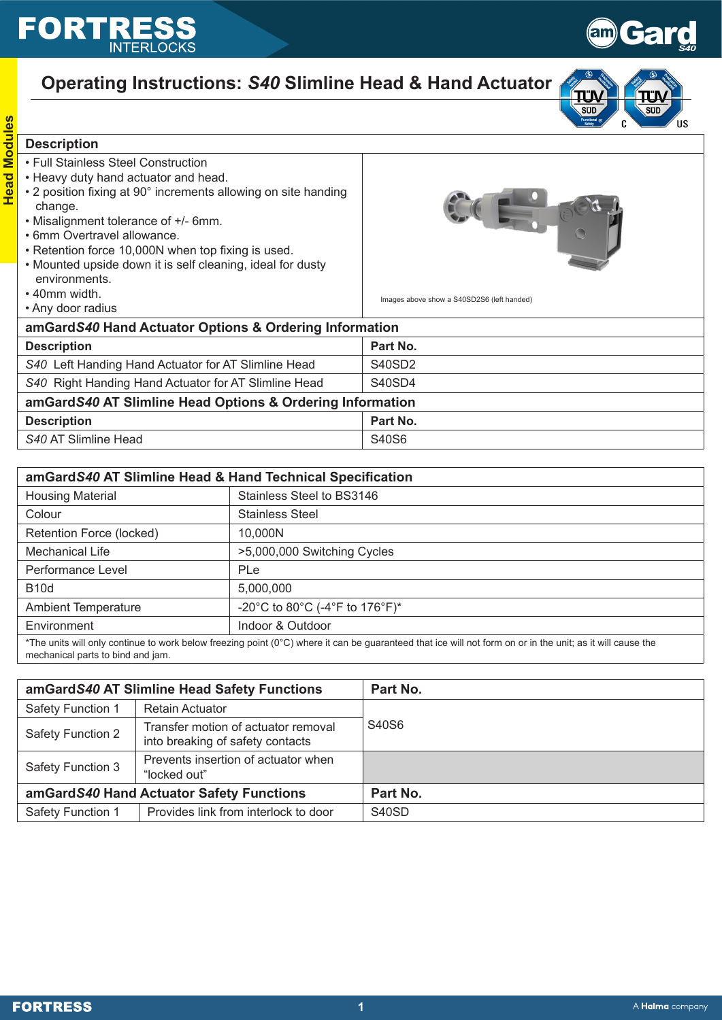## **FORTR**



**SUD** 

 $\mathbf{c}$ 

΄us

SUD

## **Operating Instructions:** *S40* **Slimline Head & Hand Actuator**

## **Head Modules Head Modules Description**

- Full Stainless Steel Construction
- Heavy duty hand actuator and head.
- 2 position fixing at 90° increments allowing on site handing change.
- Misalignment tolerance of +/- 6mm.
- 6mm Overtravel allowance.
- Retention force 10,000N when top fixing is used.
- Mounted upside down it is self cleaning, ideal for dusty environments.
- 40mm width.
- Any door radius



Images above show a S40SD2S6 (left handed)

| THEY YOU TUURU                                            |          |  |
|-----------------------------------------------------------|----------|--|
| amGardS40 Hand Actuator Options & Ordering Information    |          |  |
| <b>Description</b>                                        | Part No. |  |
| S40 Left Handing Hand Actuator for AT Slimline Head       | S40SD2   |  |
| S40 Right Handing Hand Actuator for AT Slimline Head      | S40SD4   |  |
| amGardS40 AT Slimline Head Options & Ordering Information |          |  |
| <b>Description</b>                                        | Part No. |  |
| S40 AT Slimline Head                                      | S40S6    |  |
|                                                           |          |  |

| amGardS40 AT Slimline Head & Hand Technical Specification                                                                                                           |                                |  |  |
|---------------------------------------------------------------------------------------------------------------------------------------------------------------------|--------------------------------|--|--|
| <b>Housing Material</b>                                                                                                                                             | Stainless Steel to BS3146      |  |  |
| Colour                                                                                                                                                              | <b>Stainless Steel</b>         |  |  |
| Retention Force (locked)                                                                                                                                            | 10,000N                        |  |  |
| Mechanical Life                                                                                                                                                     | >5,000,000 Switching Cycles    |  |  |
| Performance Level                                                                                                                                                   | PLe                            |  |  |
| <b>B10d</b>                                                                                                                                                         | 5,000,000                      |  |  |
| <b>Ambient Temperature</b>                                                                                                                                          | -20°C to 80°C (-4°F to 176°F)* |  |  |
| Environment                                                                                                                                                         | Indoor & Outdoor               |  |  |
| *The units will only continue to work helow freezing point $(0^{\circ}C)$ where it can be quaranteed that ice will not form on or in the unit; as it will cause the |                                |  |  |

\*The units will only continue to work below freezing point (0°C) where it can be guaranteed that ice will not form on or in the unit; as it will cause the mechanical parts to bind and jam.

| amGardS40 AT Slimline Head Safety Functions |                                                                         | Part No. |
|---------------------------------------------|-------------------------------------------------------------------------|----------|
| <b>Safety Function 1</b>                    | <b>Retain Actuator</b>                                                  |          |
| <b>Safety Function 2</b>                    | Transfer motion of actuator removal<br>into breaking of safety contacts | S40S6    |
| Safety Function 3                           | Prevents insertion of actuator when<br>"locked out"                     |          |
| amGardS40 Hand Actuator Safety Functions    |                                                                         | Part No. |
| Safety Function 1                           | Provides link from interlock to door                                    | S40SD    |